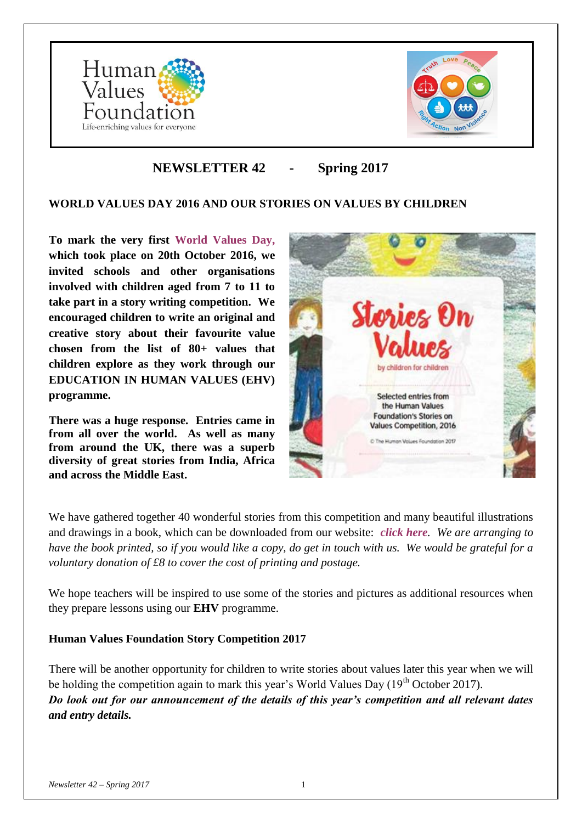



# **NEWSLETTER 42 - Spring 2017**

# **WORLD VALUES DAY 2016 AND OUR STORIES ON VALUES BY CHILDREN**

**To mark the very first [World Values Day,](http://www.worldvaluesday.com/) which took place on 20th October 2016, we invited schools and other organisations involved with children aged from 7 to 11 to take part in a story writing competition. We encouraged children to write an original and creative story about their favourite value chosen from the list of 80+ values that children explore as they work through our EDUCATION IN HUMAN VALUES (EHV) programme.**

**There was a huge response. Entries came in from all over the world. As well as many from around the UK, there was a superb diversity of great stories from India, Africa and across the Middle East.**



We have gathered together 40 wonderful stories from this competition and many beautiful illustrations and drawings in a book, which can be downloaded from our website: *[click here](http://www.humanvaluesfoundation.com/uploads/6/8/7/0/68703775/hvf-stories_on_values-2016_book.pdf). We are arranging to have the book printed, so if you would like a copy, do get in touch with us. We would be grateful for a voluntary donation of £8 to cover the cost of printing and postage.*

We hope teachers will be inspired to use some of the stories and pictures as additional resources when they prepare lessons using our **EHV** programme.

### **Human Values Foundation Story Competition 2017**

There will be another opportunity for children to write stories about values later this year when we will be holding the competition again to mark this year's World Values Day  $(19<sup>th</sup> October 2017)$ . *Do look out for our announcement of the details of this year's competition and all relevant dates and entry details.*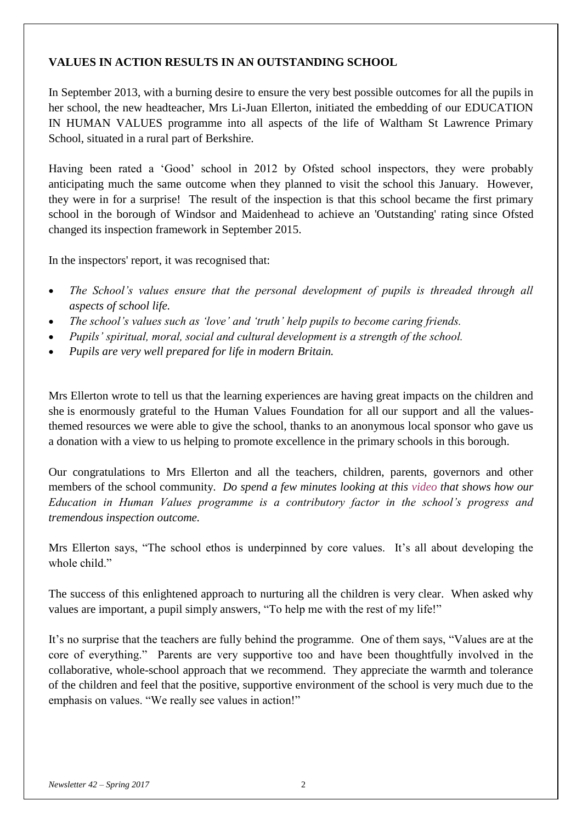# **VALUES IN ACTION RESULTS IN AN OUTSTANDING SCHOOL**

In September 2013, with a burning desire to ensure the very best possible outcomes for all the pupils in her school, the new headteacher, Mrs Li-Juan Ellerton, initiated the embedding of our EDUCATION IN HUMAN VALUES programme into all aspects of the life of Waltham St Lawrence Primary School, situated in a rural part of Berkshire.

Having been rated a 'Good' school in 2012 by Ofsted school inspectors, they were probably anticipating much the same outcome when they planned to visit the school this January. However, they were in for a surprise! The result of the inspection is that this school became the first primary school in the borough of Windsor and Maidenhead to achieve an 'Outstanding' rating since Ofsted changed its inspection framework in September 2015.

In the inspectors' report, it was recognised that:

- The School's values ensure that the personal development of pupils is threaded through all *aspects of school life.*
- *The school's values such as 'love' and 'truth' help pupils to become caring friends.*
- *Pupils' spiritual, moral, social and cultural development is a strength of the school.*
- *Pupils are very well prepared for life in modern Britain.*

Mrs Ellerton wrote to tell us that the learning experiences are having great impacts on the children and she is enormously grateful to the Human Values Foundation for all our support and all the valuesthemed resources we were able to give the school, thanks to an anonymous local sponsor who gave us a donation with a view to us helping to promote excellence in the primary schools in this borough.

Our congratulations to Mrs Ellerton and all the teachers, children, parents, governors and other members of the school community. *Do spend a few minutes looking at this [video](https://www.youtube.com/watch?v=Dzj_rCcBWWI) that shows how our Education in Human Values programme is a contributory factor in the school's progress and tremendous inspection outcome.* 

Mrs Ellerton says, "The school ethos is underpinned by core values. It's all about developing the whole child."

The success of this enlightened approach to nurturing all the children is very clear. When asked why values are important, a pupil simply answers, "To help me with the rest of my life!"

It's no surprise that the teachers are fully behind the programme. One of them says, "Values are at the core of everything." Parents are very supportive too and have been thoughtfully involved in the collaborative, whole-school approach that we recommend. They appreciate the warmth and tolerance of the children and feel that the positive, supportive environment of the school is very much due to the emphasis on values. "We really see values in action!"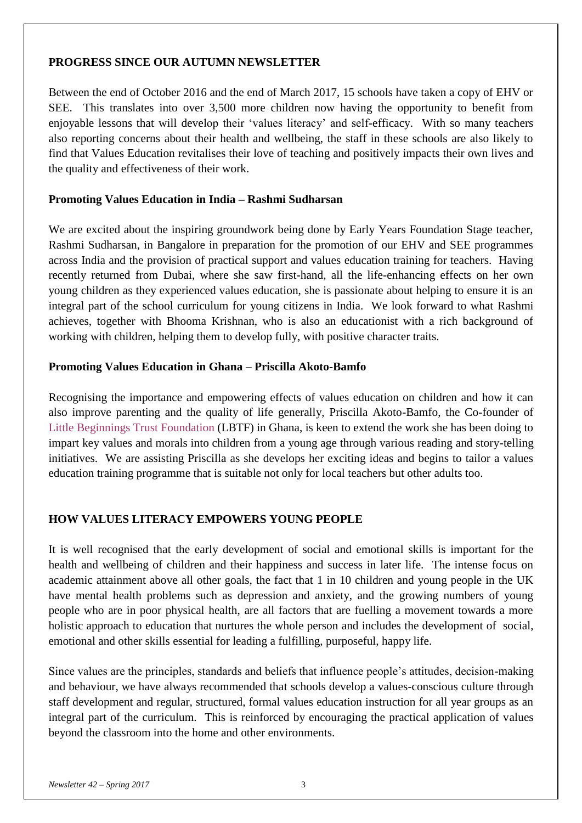#### **PROGRESS SINCE OUR AUTUMN NEWSLETTER**

Between the end of October 2016 and the end of March 2017, 15 schools have taken a copy of EHV or SEE. This translates into over 3,500 more children now having the opportunity to benefit from enjoyable lessons that will develop their 'values literacy' and self-efficacy. With so many teachers also reporting concerns about their health and wellbeing, the staff in these schools are also likely to find that Values Education revitalises their love of teaching and positively impacts their own lives and the quality and effectiveness of their work.

#### **Promoting Values Education in India – Rashmi Sudharsan**

We are excited about the inspiring groundwork being done by Early Years Foundation Stage teacher, Rashmi Sudharsan, in Bangalore in preparation for the promotion of our EHV and SEE programmes across India and the provision of practical support and values education training for teachers. Having recently returned from Dubai, where she saw first-hand, all the life-enhancing effects on her own young children as they experienced values education, she is passionate about helping to ensure it is an integral part of the school curriculum for young citizens in India. We look forward to what Rashmi achieves, together with Bhooma Krishnan, who is also an educationist with a rich background of working with children, helping them to develop fully, with positive character traits.

#### **Promoting Values Education in Ghana – Priscilla Akoto-Bamfo**

Recognising the importance and empowering effects of values education on children and how it can also improve parenting and the quality of life generally, Priscilla Akoto-Bamfo, the Co-founder of [Little Beginnings Trust Foundation](http://www.littlebeginningstf.org/) (LBTF) in Ghana, is keen to extend the work she has been doing to impart key values and morals into children from a young age through various reading and story-telling initiatives. We are assisting Priscilla as she develops her exciting ideas and begins to tailor a values education training programme that is suitable not only for local teachers but other adults too.

### **HOW VALUES LITERACY EMPOWERS YOUNG PEOPLE**

It is well recognised that the early development of social and emotional skills is important for the health and wellbeing of children and their happiness and success in later life. The intense focus on academic attainment above all other goals, the fact that 1 in 10 children and young people in the UK have mental health problems such as depression and anxiety, and the growing numbers of young people who are in poor physical health, are all factors that are fuelling a movement towards a more holistic approach to education that nurtures the whole person and includes the development of social, emotional and other skills essential for leading a fulfilling, purposeful, happy life.

Since values are the principles, standards and beliefs that influence people's attitudes, decision-making and behaviour, we have always recommended that schools develop a values-conscious culture through staff development and regular, structured, formal values education instruction for all year groups as an integral part of the curriculum. This is reinforced by encouraging the practical application of values beyond the classroom into the home and other environments.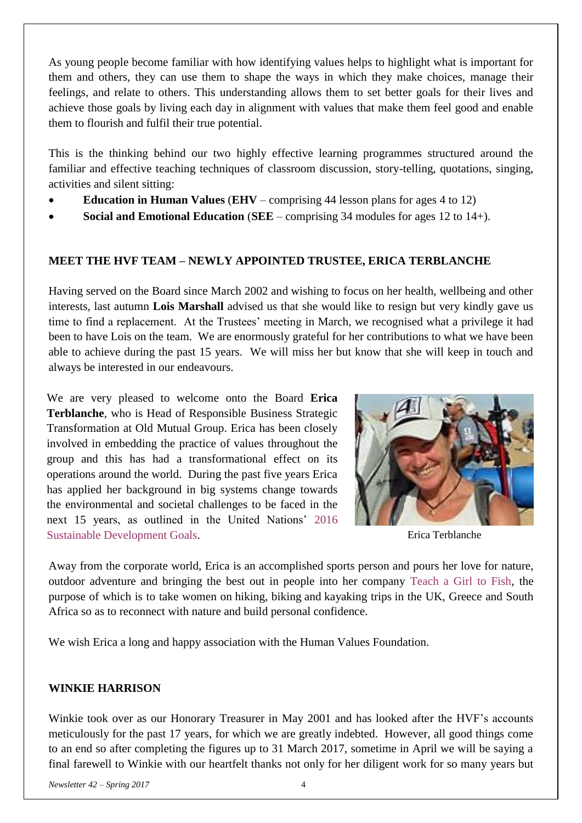As young people become familiar with how identifying values helps to highlight what is important for them and others, they can use them to shape the ways in which they make choices, manage their feelings, and relate to others. This understanding allows them to set better goals for their lives and achieve those goals by living each day in alignment with values that make them feel good and enable them to flourish and fulfil their true potential.

This is the thinking behind our two highly effective learning programmes structured around the familiar and effective teaching techniques of classroom discussion, story-telling, quotations, singing, activities and silent sitting:

- **Education in Human Values** (**EHV** comprising 44 lesson plans for ages 4 to 12)
- **Social and Emotional Education** (**SEE** comprising 34 modules for ages 12 to 14+).

### **MEET THE HVF TEAM – NEWLY APPOINTED TRUSTEE, ERICA TERBLANCHE**

Having served on the Board since March 2002 and wishing to focus on her health, wellbeing and other interests, last autumn **Lois Marshall** advised us that she would like to resign but very kindly gave us time to find a replacement. At the Trustees' meeting in March, we recognised what a privilege it had been to have Lois on the team. We are enormously grateful for her contributions to what we have been able to achieve during the past 15 years. We will miss her but know that she will keep in touch and always be interested in our endeavours.

We are very pleased to welcome onto the Board **Erica Terblanche**, who is Head of Responsible Business Strategic Transformation at Old Mutual Group. Erica has been closely involved in embedding the practice of values throughout the group and this has had a transformational effect on its operations around the world. During the past five years Erica has applied her background in big systems change towards the environmental and societal challenges to be faced in the next 15 years, as outlined in the United Nations' [2016](https://sustainabledevelopment.un.org/)  [Sustainable Development Goals.](https://sustainabledevelopment.un.org/) Erica Terblanche



Away from the corporate world, Erica is an accomplished sports person and pours her love for nature, outdoor adventure and bringing the best out in people into her company [Teach a Girl to Fish,](http://teachagirltofish.co.uk/) the purpose of which is to take women on hiking, biking and kayaking trips in the UK, Greece and South Africa so as to reconnect with nature and build personal confidence.

We wish Erica a long and happy association with the Human Values Foundation.

### **WINKIE HARRISON**

Winkie took over as our Honorary Treasurer in May 2001 and has looked after the HVF's accounts meticulously for the past 17 years, for which we are greatly indebted. However, all good things come to an end so after completing the figures up to 31 March 2017, sometime in April we will be saying a final farewell to Winkie with our heartfelt thanks not only for her diligent work for so many years but

*Newsletter 42 – Spring 2017* 4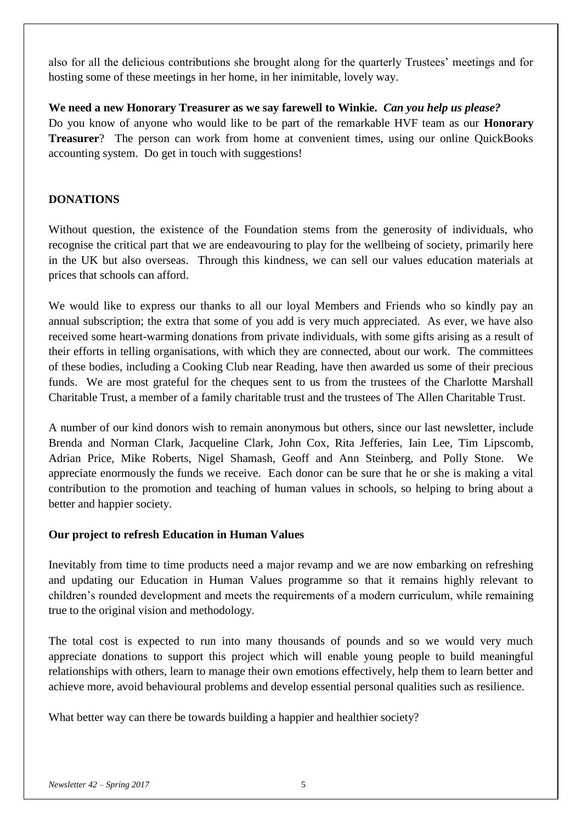also for all the delicious contributions she brought along for the quarterly Trustees' meetings and for hosting some of these meetings in her home, in her inimitable, lovely way.

### **We need a new Honorary Treasurer as we say farewell to Winkie.** *Can you help us please?*

Do you know of anyone who would like to be part of the remarkable HVF team as our **Honorary Treasurer**? The person can work from home at convenient times, using our online QuickBooks accounting system. Do get in touch with suggestions!

# **DONATIONS**

Without question, the existence of the Foundation stems from the generosity of individuals, who recognise the critical part that we are endeavouring to play for the wellbeing of society, primarily here in the UK but also overseas. Through this kindness, we can sell our values education materials at prices that schools can afford.

We would like to express our thanks to all our loyal Members and Friends who so kindly pay an annual subscription; the extra that some of you add is very much appreciated. As ever, we have also received some heart-warming donations from private individuals, with some gifts arising as a result of their efforts in telling organisations, with which they are connected, about our work. The committees of these bodies, including a Cooking Club near Reading, have then awarded us some of their precious funds. We are most grateful for the cheques sent to us from the trustees of the Charlotte Marshall Charitable Trust, a member of a family charitable trust and the trustees of The Allen Charitable Trust.

A number of our kind donors wish to remain anonymous but others, since our last newsletter, include Brenda and Norman Clark, Jacqueline Clark, John Cox, Rita Jefferies, Iain Lee, Tim Lipscomb, Adrian Price, Mike Roberts, Nigel Shamash, Geoff and Ann Steinberg, and Polly Stone. We appreciate enormously the funds we receive. Each donor can be sure that he or she is making a vital contribution to the promotion and teaching of human values in schools, so helping to bring about a better and happier society.

# **Our project to refresh Education in Human Values**

Inevitably from time to time products need a major revamp and we are now embarking on refreshing and updating our Education in Human Values programme so that it remains highly relevant to children's rounded development and meets the requirements of a modern curriculum, while remaining true to the original vision and methodology.

The total cost is expected to run into many thousands of pounds and so we would very much appreciate donations to support this project which will enable young people to build meaningful relationships with others, learn to manage their own emotions effectively, help them to learn better and achieve more, avoid behavioural problems and develop essential personal qualities such as resilience.

What better way can there be towards building a happier and healthier society?